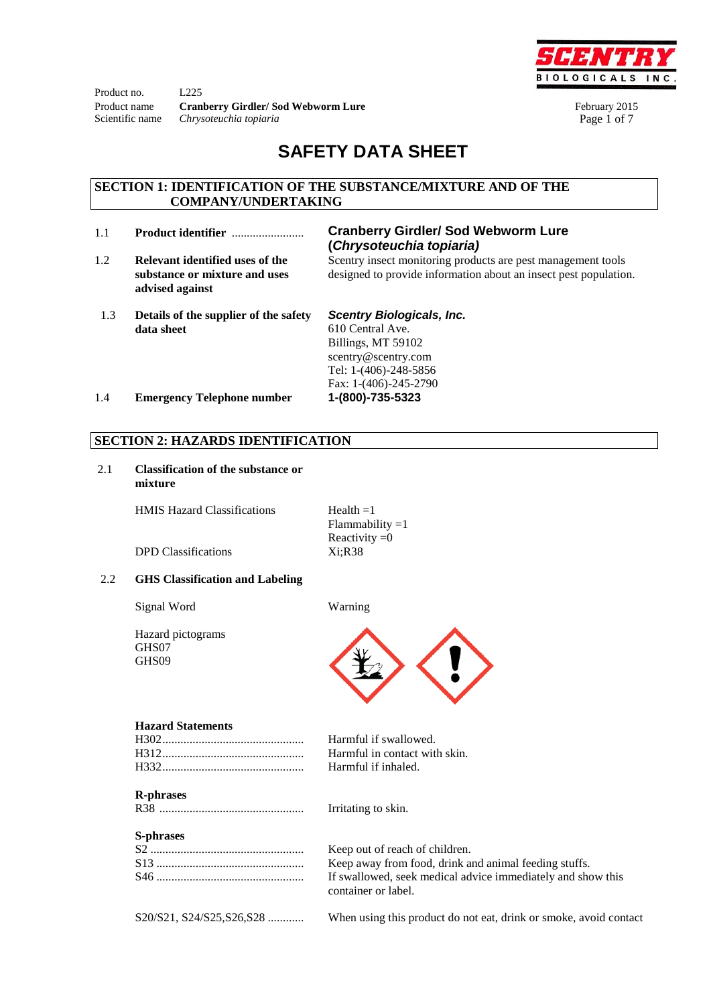Product no. L225 Product name **Cranberry Girdler/ Sod Webworm Lure** February 2015 Scientific name *Chrysoteuchia topiaria Page 1 of 7* 



# **SAFETY DATA SHEET**

## **SECTION 1: IDENTIFICATION OF THE SUBSTANCE/MIXTURE AND OF THE COMPANY/UNDERTAKING**

- 
- 1.2 **Relevant identified uses of the substance or mixture and uses advised against**

# 1.1 **Product identifier** ........................ **Cranberry Girdler/ Sod Webworm Lure (***Chrysoteuchia topiaria)*

Scentry insect monitoring products are pest management tools designed to provide information about an insect pest population.

 1.3 **Details of the supplier of the safety data sheet**

*Scentry Biologicals, Inc.*  610 Central Ave. Billings, MT 59102 scentry@scentry.com

Tel: 1-(406)-248-5856 Fax: 1-(406)-245-2790

1.4 **Emergency Telephone number 1-(800)-735-5323**

# **SECTION 2: HAZARDS IDENTIFICATION**

2.1 **Classification of the substance or mixture**

HMIS Hazard Classifications  $\text{Health} = 1$ 

| $tau = 1$         |
|-------------------|
| $Flammablity = 1$ |
| Reactivity $=0$   |
| Xi;R38            |
|                   |

DPD Classifications

#### 2.2 **GHS Classification and Labeling**

Signal Word Warning





#### **Hazard Statements**

#### **R-phrases**

R38 ................................................ Irritating to skin.

# **S-phrases**

| 5-ршаѕеѕ                 |                                                                                    |
|--------------------------|------------------------------------------------------------------------------------|
|                          | Keep out of reach of children.                                                     |
|                          | Keep away from food, drink and animal feeding stuffs.                              |
|                          | If swallowed, seek medical advice immediately and show this<br>container or label. |
| S20/S21, S24/S25,S26,S28 | When using this product do not eat, drink or smoke, avoid contact                  |

Harmful if swallowed. Harmful in contact with skin.

Harmful if inhaled.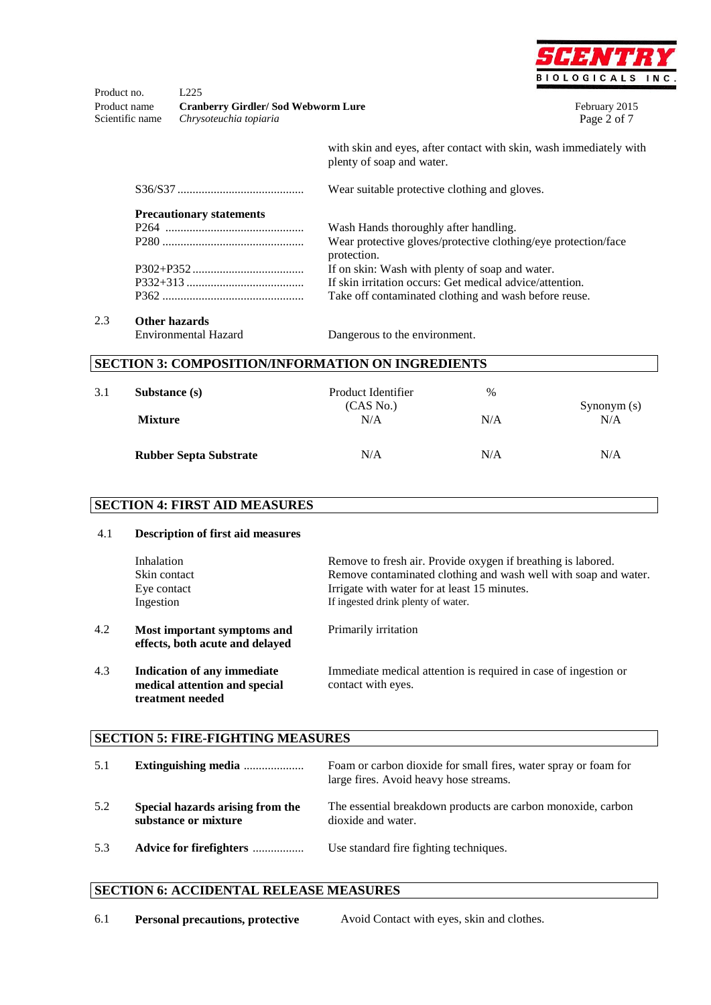

Product no. L225 Product name **Cranberry Girdler/ Sod Webworm Lure** February 2015 Scientific name *Chrysoteuchia topiaria Page 2 of 7* 

with skin and eyes, after contact with skin, wash immediately with plenty of soap and water.

S36/S37 .......................................... Wear suitable protective clothing and gloves. **Precautionary statements** P264 .............................................. P280 ............................................... P302+P352 ..................................... P332+313 ....................................... P362 ............................................... Wash Hands thoroughly after handling. Wear protective gloves/protective clothing/eye protection/face protection. If on skin: Wash with plenty of soap and water. If skin irritation occurs: Get medical advice/attention. Take off contaminated clothing and wash before reuse.

2.3 **Other hazards** 

Dangerous to the environment.

|     | <b>SECTION 3: COMPOSITION/INFORMATION ON INGREDIENTS</b> |                    |      |            |
|-----|----------------------------------------------------------|--------------------|------|------------|
| 3.1 | Substance (s)                                            | Product Identifier | $\%$ |            |
|     |                                                          | (CAS No.)          |      | Symonym(s) |
|     | <b>Mixture</b>                                           | N/A                | N/A  | N/A        |
|     | <b>Rubber Septa Substrate</b>                            | N/A                | N/A  | N/A        |

# **SECTION 4: FIRST AID MEASURES**

| 4.1 | <b>Description of first aid measures</b>                                                |                                                                                                                                                                                                                       |
|-----|-----------------------------------------------------------------------------------------|-----------------------------------------------------------------------------------------------------------------------------------------------------------------------------------------------------------------------|
|     | Inhalation<br>Skin contact<br>Eye contact<br>Ingestion                                  | Remove to fresh air. Provide oxygen if breathing is labored.<br>Remove contaminated clothing and wash well with soap and water.<br>Irrigate with water for at least 15 minutes.<br>If ingested drink plenty of water. |
| 4.2 | Most important symptoms and<br>effects, both acute and delayed                          | Primarily irritation                                                                                                                                                                                                  |
| 4.3 | <b>Indication of any immediate</b><br>medical attention and special<br>treatment needed | Immediate medical attention is required in case of ingestion or<br>contact with eyes.                                                                                                                                 |
|     | <b>SECTION 5: FIRE-FIGHTING MEASURES</b>                                                |                                                                                                                                                                                                                       |
| 5.1 | Extinguishing media                                                                     | Foam or carbon dioxide for small fires, water spray or foam for<br>large fires. Avoid heavy hose streams.                                                                                                             |
| 5.2 | Special hazards arising from the<br>substance or mixture                                | The essential breakdown products are carbon monoxide, carbon<br>dioxide and water.                                                                                                                                    |
| 5.3 | Advice for firefighters                                                                 | Use standard fire fighting techniques.                                                                                                                                                                                |

#### **SECTION 6: ACCIDENTAL RELEASE MEASURES**

| 6.1 | <b>Personal precautions, protective</b> | Avoid Contact with eyes, skin and clothes. |
|-----|-----------------------------------------|--------------------------------------------|
|-----|-----------------------------------------|--------------------------------------------|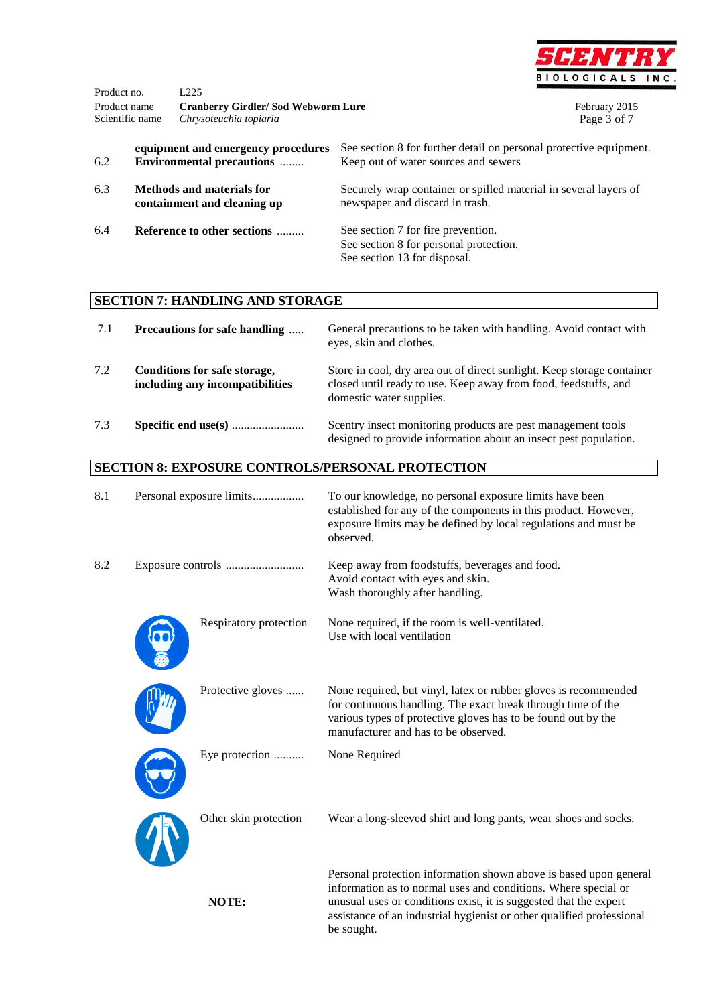

| Product no.<br>Product name<br>Scientific name                  |  | L <sub>225</sub><br><b>Cranberry Girdler/Sod Webworm Lure</b><br>Chrysoteuchia topiaria |                                                                                                              | February 2015<br>Page 3 of 7 |
|-----------------------------------------------------------------|--|-----------------------------------------------------------------------------------------|--------------------------------------------------------------------------------------------------------------|------------------------------|
| 6.2                                                             |  | equipment and emergency procedures<br><b>Environmental precautions</b>                  | See section 8 for further detail on personal protective equipment.<br>Keep out of water sources and sewers   |                              |
| 6.3<br>Methods and materials for<br>containment and cleaning up |  |                                                                                         | Securely wrap container or spilled material in several layers of<br>newspaper and discard in trash.          |                              |
| 6.4                                                             |  | Reference to other sections                                                             | See section 7 for fire prevention.<br>See section 8 for personal protection.<br>See section 13 for disposal. |                              |

# **SECTION 7: HANDLING AND STORAGE**

| 7.1 | <b>Precautions for safe handling </b>                           | General precautions to be taken with handling. Avoid contact with<br>eyes, skin and clothes.                                                                          |
|-----|-----------------------------------------------------------------|-----------------------------------------------------------------------------------------------------------------------------------------------------------------------|
| 7.2 | Conditions for safe storage,<br>including any incompatibilities | Store in cool, dry area out of direct sunlight. Keep storage container<br>closed until ready to use. Keep away from food, feedstuffs, and<br>domestic water supplies. |
| 7.3 |                                                                 | Scentry insect monitoring products are pest management tools<br>designed to provide information about an insect pest population.                                      |

# **SECTION 8: EXPOSURE CONTROLS/PERSONAL PROTECTION**

| 8.1 | Personal exposure limits | To our knowledge, no personal exposure limits have been<br>established for any of the components in this product. However,<br>exposure limits may be defined by local regulations and must be<br>observed.                                                                                      |
|-----|--------------------------|-------------------------------------------------------------------------------------------------------------------------------------------------------------------------------------------------------------------------------------------------------------------------------------------------|
| 8.2 |                          | Keep away from foodstuffs, beverages and food.<br>Avoid contact with eyes and skin.<br>Wash thoroughly after handling.                                                                                                                                                                          |
|     | Respiratory protection   | None required, if the room is well-ventilated.<br>Use with local ventilation                                                                                                                                                                                                                    |
|     | Protective gloves        | None required, but vinyl, latex or rubber gloves is recommended<br>for continuous handling. The exact break through time of the<br>various types of protective gloves has to be found out by the<br>manufacturer and has to be observed.                                                        |
|     | Eye protection           | None Required                                                                                                                                                                                                                                                                                   |
|     | Other skin protection    | Wear a long-sleeved shirt and long pants, wear shoes and socks.                                                                                                                                                                                                                                 |
|     | NOTE:                    | Personal protection information shown above is based upon general<br>information as to normal uses and conditions. Where special or<br>unusual uses or conditions exist, it is suggested that the expert<br>assistance of an industrial hygienist or other qualified professional<br>be sought. |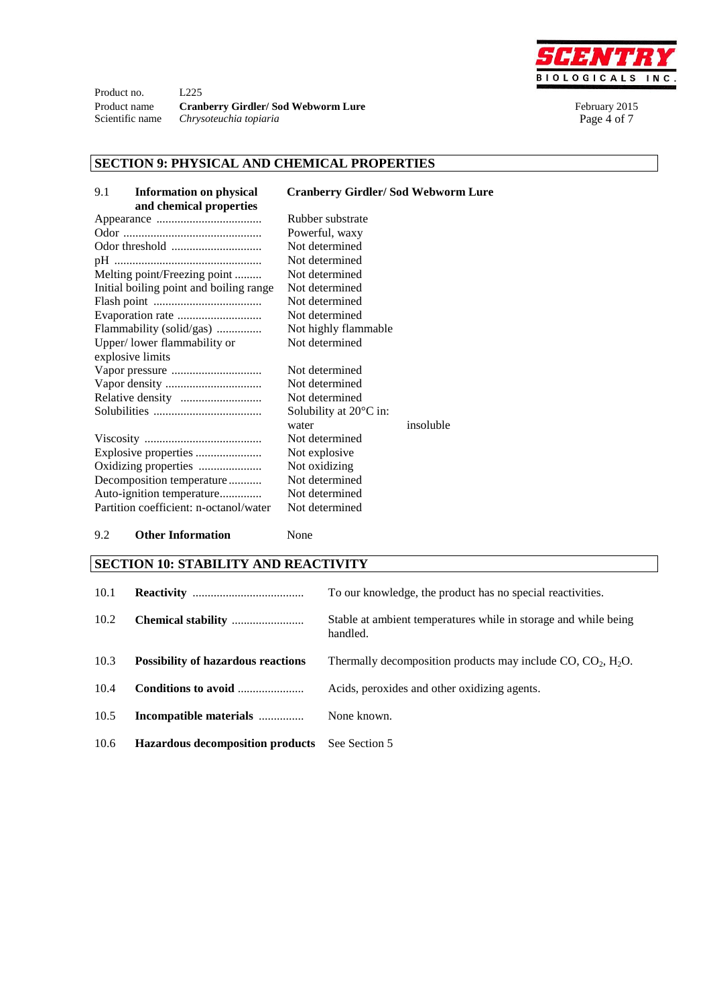

Product no. L225 Product name **Cranberry Girdler/ Sod Webworm Lure** February 2015<br>Scientific name *Chrysoteuchia topiaria* Page 4 of 7 Chrysoteuchia topiaria

# **SECTION 9: PHYSICAL AND CHEMICAL PROPERTIES**

| 9.1<br><b>Information on physical</b><br>and chemical properties | <b>Cranberry Girdler/Sod Webworm Lure</b> |
|------------------------------------------------------------------|-------------------------------------------|
|                                                                  | Rubber substrate                          |
|                                                                  | Powerful, waxy                            |
|                                                                  | Not determined                            |
|                                                                  | Not determined                            |
| Melting point/Freezing point                                     | Not determined                            |
| Initial boiling point and boiling range                          | Not determined                            |
|                                                                  | Not determined                            |
|                                                                  | Not determined                            |
| Flammability (solid/gas)                                         | Not highly flammable                      |
| Upper/lower flammability or                                      | Not determined                            |
| explosive limits                                                 |                                           |
|                                                                  | Not determined                            |
|                                                                  | Not determined                            |
|                                                                  | Not determined                            |
|                                                                  | Solubility at $20^{\circ}$ C in:          |
|                                                                  | insoluble<br>water                        |
|                                                                  | Not determined                            |
|                                                                  | Not explosive                             |
| Oxidizing properties                                             | Not oxidizing                             |
| Decomposition temperature                                        | Not determined                            |
| Auto-ignition temperature                                        | Not determined                            |
| Partition coefficient: n-octanol/water                           | Not determined                            |
|                                                                  |                                           |

# 9.2 **Other Information** None

## **SECTION 10: STABILITY AND REACTIVITY**

| 10.1 |                                           | To our knowledge, the product has no special reactivities.                  |
|------|-------------------------------------------|-----------------------------------------------------------------------------|
| 10.2 |                                           | Stable at ambient temperatures while in storage and while being<br>handled. |
| 10.3 | <b>Possibility of hazardous reactions</b> | Thermally decomposition products may include $CO$ , $CO2$ , $H2O$ .         |
| 10.4 | Conditions to avoid                       | Acids, peroxides and other oxidizing agents.                                |
| 10.5 | Incompatible materials                    | None known.                                                                 |
| 10.6 | <b>Hazardous decomposition products</b>   | See Section 5                                                               |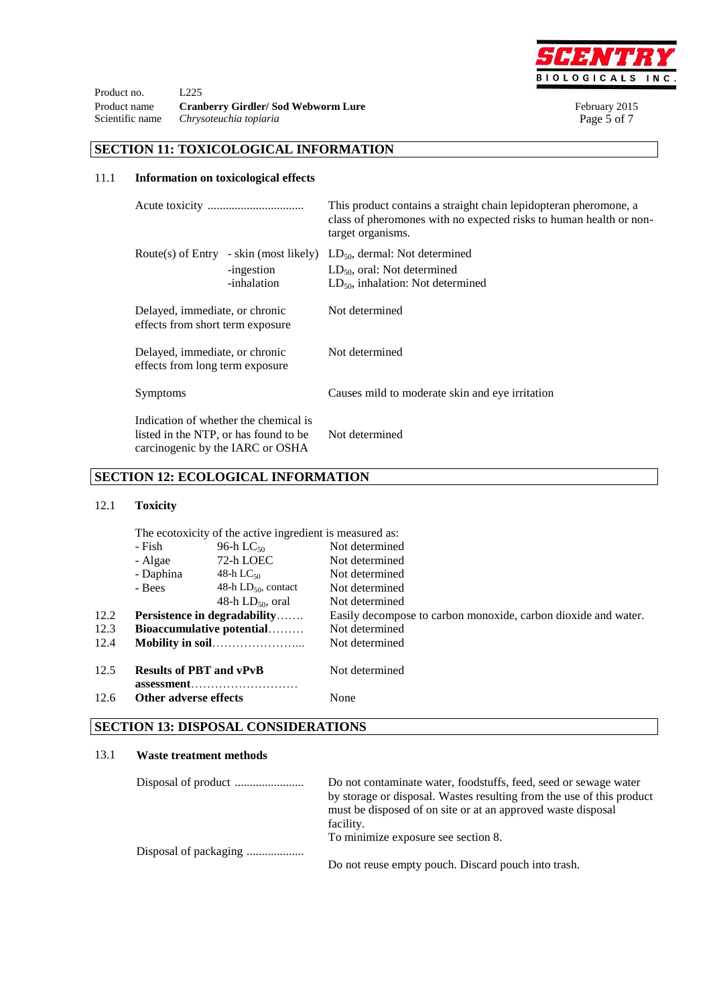

Product no. L<sub>225</sub> Product name **Cranberry Girdler/ Sod Webworm Lure** February 2015<br>Scientific name *Chrysoteuchia topiaria* Page 5 of 7 Scientific name *Chrysoteuchia topiaria* 

# **SECTION 11: TOXICOLOGICAL INFORMATION**

## 11.1 **Information on toxicological effects**

|                                                                                                                    |                                                                     | This product contains a straight chain lepidopteran pheromone, a<br>class of pheromones with no expected risks to human health or non-<br>target organisms. |
|--------------------------------------------------------------------------------------------------------------------|---------------------------------------------------------------------|-------------------------------------------------------------------------------------------------------------------------------------------------------------|
|                                                                                                                    | Route(s) of Entry - skin (most likely)<br>-ingestion<br>-inhalation | $LD_{50}$ , dermal: Not determined<br>$LD_{50}$ , oral: Not determined<br>$LD_{50}$ , inhalation: Not determined                                            |
| Delayed, immediate, or chronic<br>effects from short term exposure                                                 |                                                                     | Not determined                                                                                                                                              |
| Delayed, immediate, or chronic<br>effects from long term exposure                                                  |                                                                     | Not determined                                                                                                                                              |
| Symptoms                                                                                                           |                                                                     | Causes mild to moderate skin and eye irritation                                                                                                             |
| Indication of whether the chemical is<br>listed in the NTP, or has found to be<br>carcinogenic by the IARC or OSHA |                                                                     | Not determined                                                                                                                                              |

# **SECTION 12: ECOLOGICAL INFORMATION**

## 12.1 **Toxicity**

|      | The ecotoxicity of the active ingredient is measured as:                          |                          |                                                                |  |
|------|-----------------------------------------------------------------------------------|--------------------------|----------------------------------------------------------------|--|
|      | - Fish<br>96-h L $C_{50}$<br>72-h LOEC<br>- Algae<br>- Daphina<br>48-h L $C_{50}$ |                          | Not determined                                                 |  |
|      |                                                                                   |                          | Not determined                                                 |  |
|      |                                                                                   |                          | Not determined                                                 |  |
|      | - Bees                                                                            | 48-h $LD_{50}$ , contact | Not determined                                                 |  |
|      |                                                                                   | 48-h $LD_{50}$ , oral    | Not determined                                                 |  |
| 12.2 | <b>Persistence in degradability</b>                                               |                          | Easily decompose to carbon monoxide, carbon dioxide and water. |  |
| 12.3 | Bioaccumulative potential                                                         |                          | Not determined                                                 |  |
| 12.4 |                                                                                   |                          | Not determined                                                 |  |
| 12.5 | <b>Results of PBT and vPvB</b><br>Other adverse effects                           |                          | Not determined                                                 |  |
| 12.6 |                                                                                   |                          | None                                                           |  |
|      |                                                                                   |                          |                                                                |  |

# **SECTION 13: DISPOSAL CONSIDERATIONS**

#### 13.1 **Waste treatment methods**

| Do not contaminate water, foodstuffs, feed, seed or sewage water      |
|-----------------------------------------------------------------------|
| by storage or disposal. Wastes resulting from the use of this product |
| must be disposed of on site or at an approved waste disposal          |
| facility.                                                             |
| To minimize exposure see section 8.                                   |
|                                                                       |
| Do not reuse empty pouch. Discard pouch into trash.                   |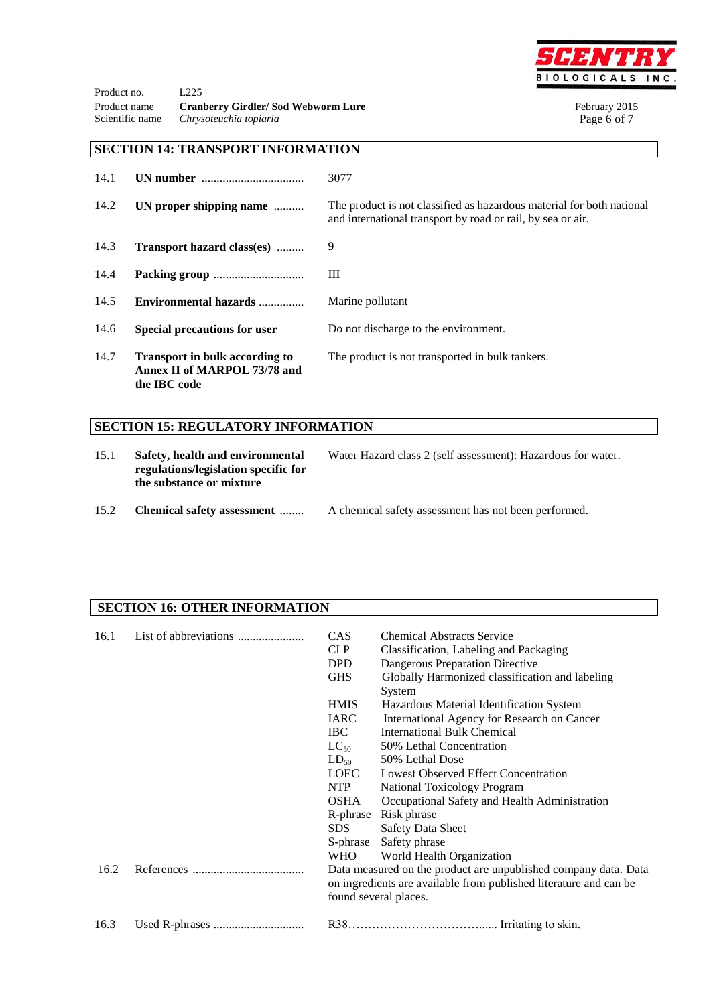

Product no. L225 Product name **Cranberry Girdler/ Sod Webworm Lure** February 2015<br>Scientific name *Chrysoteuchia topiaria* Page 6 of 7  $Chrysoteuchia topiaria$ 

# **SECTION 14: TRANSPORT INFORMATION**

| 14.1 |                                                                                       | 3077                                                                                                                                 |
|------|---------------------------------------------------------------------------------------|--------------------------------------------------------------------------------------------------------------------------------------|
| 14.2 | UN proper shipping name                                                               | The product is not classified as hazardous material for both national<br>and international transport by road or rail, by sea or air. |
| 14.3 | Transport hazard class(es)                                                            | 9                                                                                                                                    |
| 14.4 |                                                                                       | Ш                                                                                                                                    |
| 14.5 | Environmental hazards                                                                 | Marine pollutant                                                                                                                     |
| 14.6 | <b>Special precautions for user</b>                                                   | Do not discharge to the environment.                                                                                                 |
| 14.7 | <b>Transport in bulk according to</b><br>Annex II of MARPOL 73/78 and<br>the IBC code | The product is not transported in bulk tankers.                                                                                      |

# **SECTION 15: REGULATORY INFORMATION**

| 15.1 | Safety, health and environmental<br>regulations/legislation specific for<br>the substance or mixture | Water Hazard class 2 (self assessment): Hazardous for water. |  |
|------|------------------------------------------------------------------------------------------------------|--------------------------------------------------------------|--|
| 15.2 | Chemical safety assessment                                                                           | A chemical safety assessment has not been performed.         |  |

## **SECTION 16: OTHER INFORMATION**

| 16.1 | <b>CAS</b><br><b>CLP</b><br><b>DPD</b><br><b>GHS</b>                                                                                                          | <b>Chemical Abstracts Service</b><br>Classification, Labeling and Packaging<br>Dangerous Preparation Directive<br>Globally Harmonized classification and labeling<br>System |  |
|------|---------------------------------------------------------------------------------------------------------------------------------------------------------------|-----------------------------------------------------------------------------------------------------------------------------------------------------------------------------|--|
|      | <b>HMIS</b>                                                                                                                                                   | Hazardous Material Identification System                                                                                                                                    |  |
|      | <b>IARC</b>                                                                                                                                                   | International Agency for Research on Cancer                                                                                                                                 |  |
|      | IBC.                                                                                                                                                          | <b>International Bulk Chemical</b>                                                                                                                                          |  |
|      | $LC_{50}$                                                                                                                                                     | 50% Lethal Concentration                                                                                                                                                    |  |
|      | $LD_{50}$                                                                                                                                                     | 50% Lethal Dose                                                                                                                                                             |  |
|      | LOEC                                                                                                                                                          | Lowest Observed Effect Concentration                                                                                                                                        |  |
|      | <b>NTP</b>                                                                                                                                                    | <b>National Toxicology Program</b>                                                                                                                                          |  |
|      | <b>OSHA</b>                                                                                                                                                   | Occupational Safety and Health Administration                                                                                                                               |  |
|      | R-phrase                                                                                                                                                      | Risk phrase                                                                                                                                                                 |  |
|      | SDS.                                                                                                                                                          | <b>Safety Data Sheet</b>                                                                                                                                                    |  |
|      | S-phrase                                                                                                                                                      | Safety phrase                                                                                                                                                               |  |
|      | <b>WHO</b>                                                                                                                                                    | World Health Organization                                                                                                                                                   |  |
| 16.2 | Data measured on the product are unpublished company data. Data<br>on ingredients are available from published literature and can be<br>found several places. |                                                                                                                                                                             |  |
| 16.3 |                                                                                                                                                               |                                                                                                                                                                             |  |